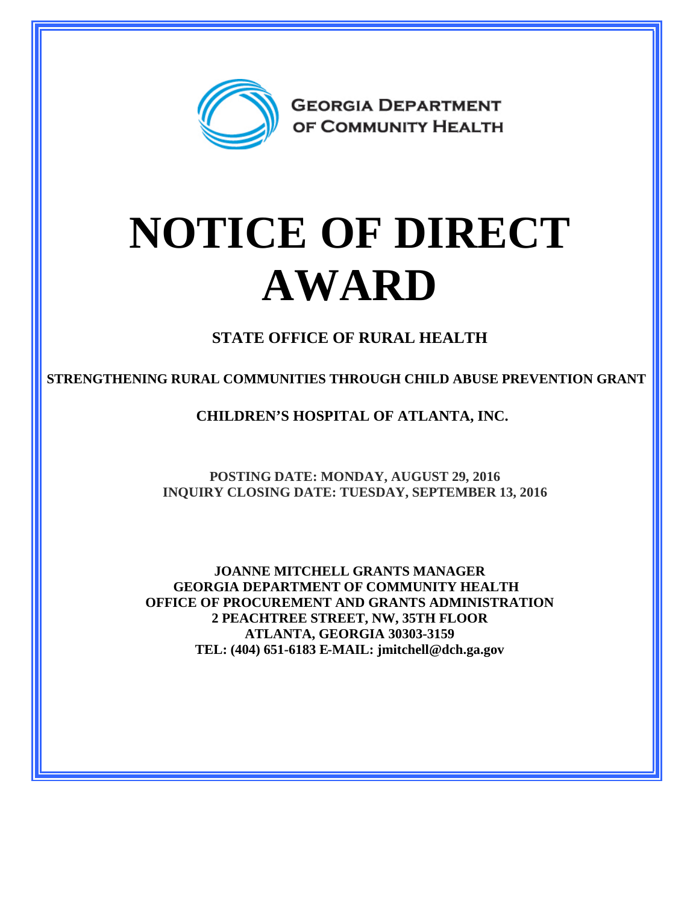

# **NOTICE OF DIRECT AWARD**

**STATE OFFICE OF RURAL HEALTH**

**STRENGTHENING RURAL COMMUNITIES THROUGH CHILD ABUSE PREVENTION GRANT** 

**CHILDREN'S HOSPITAL OF ATLANTA, INC.**

**POSTING DATE: MONDAY, AUGUST 29, 2016 INQUIRY CLOSING DATE: TUESDAY, SEPTEMBER 13, 2016**

**JOANNE MITCHELL GRANTS MANAGER GEORGIA DEPARTMENT OF COMMUNITY HEALTH OFFICE OF PROCUREMENT AND GRANTS ADMINISTRATION 2 PEACHTREE STREET, NW, 35TH FLOOR ATLANTA, GEORGIA 30303-3159 TEL: (404) 651-6183 E-MAIL: jmitchell@dch.ga.gov**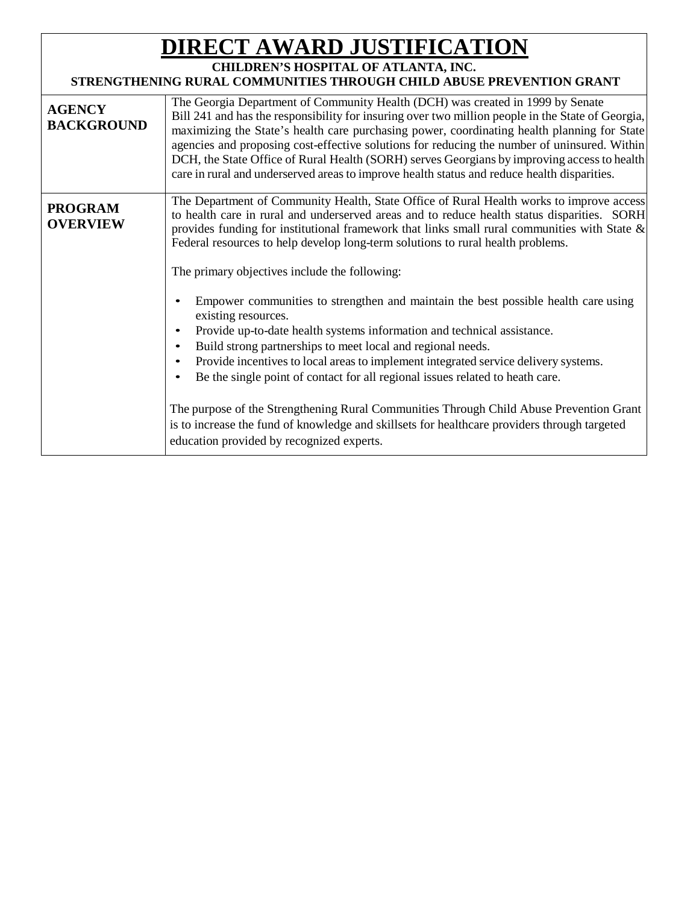# **DIRECT AWARD JUSTIFICATION**

## **CHILDREN'S HOSPITAL OF ATLANTA, INC.**

### **STRENGTHENING RURAL COMMUNITIES THROUGH CHILD ABUSE PREVENTION GRANT**

| <b>AGENCY</b><br><b>BACKGROUND</b> | The Georgia Department of Community Health (DCH) was created in 1999 by Senate<br>Bill 241 and has the responsibility for insuring over two million people in the State of Georgia,<br>maximizing the State's health care purchasing power, coordinating health planning for State<br>agencies and proposing cost-effective solutions for reducing the number of uninsured. Within<br>DCH, the State Office of Rural Health (SORH) serves Georgians by improving access to health<br>care in rural and underserved areas to improve health status and reduce health disparities.                                                                                                                                                                                                                                                                                                                                                                                                                                                                                                                      |
|------------------------------------|-------------------------------------------------------------------------------------------------------------------------------------------------------------------------------------------------------------------------------------------------------------------------------------------------------------------------------------------------------------------------------------------------------------------------------------------------------------------------------------------------------------------------------------------------------------------------------------------------------------------------------------------------------------------------------------------------------------------------------------------------------------------------------------------------------------------------------------------------------------------------------------------------------------------------------------------------------------------------------------------------------------------------------------------------------------------------------------------------------|
| <b>PROGRAM</b><br><b>OVERVIEW</b>  | The Department of Community Health, State Office of Rural Health works to improve access<br>to health care in rural and underserved areas and to reduce health status disparities. SORH<br>provides funding for institutional framework that links small rural communities with State $\&$<br>Federal resources to help develop long-term solutions to rural health problems.<br>The primary objectives include the following:<br>Empower communities to strengthen and maintain the best possible health care using<br>existing resources.<br>Provide up-to-date health systems information and technical assistance.<br>Build strong partnerships to meet local and regional needs.<br>Provide incentives to local areas to implement integrated service delivery systems.<br>Be the single point of contact for all regional issues related to heath care.<br>The purpose of the Strengthening Rural Communities Through Child Abuse Prevention Grant<br>is to increase the fund of knowledge and skillsets for healthcare providers through targeted<br>education provided by recognized experts. |